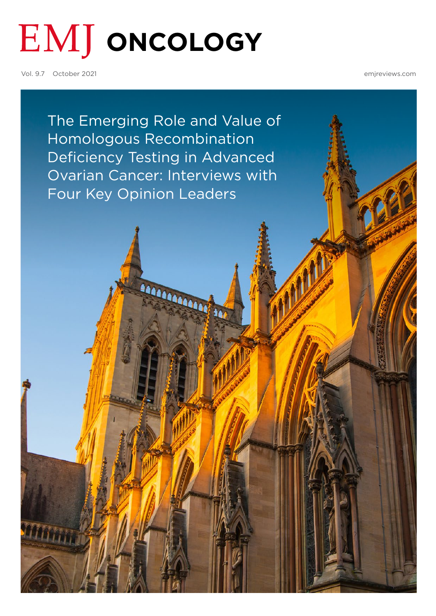# **EMJ ONCOLOGY**

Vol. 9.7 October 2021

[emjreviews.com](https://www.emjreviews.com/)

The Emerging Role and Value of Homologous Recombination Deficiency Testing in Advanced [Ovarian Cancer: Interviews with](#page-1-0)  Four Key Opinion Leaders

MARANAGAR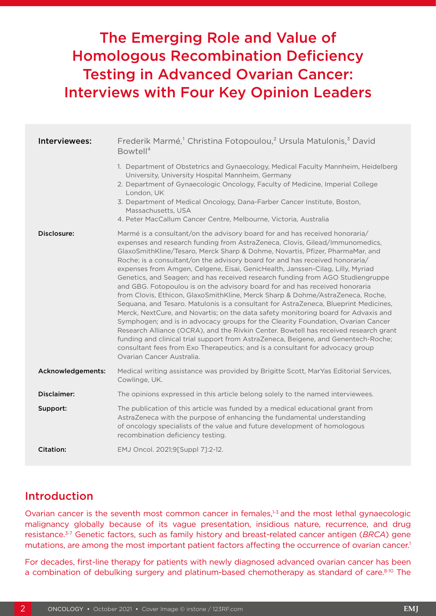## <span id="page-1-0"></span>The Emerging Role and Value of Homologous Recombination Deficiency Testing in Advanced Ovarian Cancer: Interviews with Four Key Opinion Leaders

| Interviewees:     | Frederik Marmé, <sup>1</sup> Christina Fotopoulou, <sup>2</sup> Ursula Matulonis, <sup>3</sup> David<br>Bowtell <sup>4</sup>                                                                                                                                                                                                                                                                                                                                                                                                                                                                                                                                                                                                                                                                                                                                                                                                                                                                                                                                                                                                                                                                                                    |
|-------------------|---------------------------------------------------------------------------------------------------------------------------------------------------------------------------------------------------------------------------------------------------------------------------------------------------------------------------------------------------------------------------------------------------------------------------------------------------------------------------------------------------------------------------------------------------------------------------------------------------------------------------------------------------------------------------------------------------------------------------------------------------------------------------------------------------------------------------------------------------------------------------------------------------------------------------------------------------------------------------------------------------------------------------------------------------------------------------------------------------------------------------------------------------------------------------------------------------------------------------------|
|                   | 1. Department of Obstetrics and Gynaecology, Medical Faculty Mannheim, Heidelberg<br>University, University Hospital Mannheim, Germany<br>2. Department of Gynaecologic Oncology, Faculty of Medicine, Imperial College<br>London, UK<br>3. Department of Medical Oncology, Dana-Farber Cancer Institute, Boston,<br>Massachusetts, USA<br>4. Peter MacCallum Cancer Centre, Melbourne, Victoria, Australia                                                                                                                                                                                                                                                                                                                                                                                                                                                                                                                                                                                                                                                                                                                                                                                                                     |
| Disclosure:       | Marmé is a consultant/on the advisory board for and has received honoraria/<br>expenses and research funding from AstraZeneca, Clovis, Gilead/Immunomedics,<br>GlaxoSmithKline/Tesaro, Merck Sharp & Dohme, Novartis, Pfizer, PharmaMar, and<br>Roche; is a consultant/on the advisory board for and has received honoraria/<br>expenses from Amgen, Celgene, Eisai, GenicHealth, Janssen-Cilag, Lilly, Myriad<br>Genetics, and Seagen; and has received research funding from AGO Studiengruppe<br>and GBG. Fotopoulou is on the advisory board for and has received honoraria<br>from Clovis, Ethicon, GlaxoSmithKline, Merck Sharp & Dohme/AstraZeneca, Roche,<br>Sequana, and Tesaro. Matulonis is a consultant for AstraZeneca, Blueprint Medicines,<br>Merck, NextCure, and Novartis; on the data safety monitoring board for Advaxis and<br>Symphogen; and is in advocacy groups for the Clearity Foundation, Ovarian Cancer<br>Research Alliance (OCRA), and the Rivkin Center. Bowtell has received research grant<br>funding and clinical trial support from AstraZeneca, Beigene, and Genentech-Roche;<br>consultant fees from Exo Therapeutics; and is a consultant for advocacy group<br>Ovarian Cancer Australia. |
| Acknowledgements: | Medical writing assistance was provided by Brigitte Scott, MarYas Editorial Services,<br>Cowlinge, UK.                                                                                                                                                                                                                                                                                                                                                                                                                                                                                                                                                                                                                                                                                                                                                                                                                                                                                                                                                                                                                                                                                                                          |
| Disclaimer:       | The opinions expressed in this article belong solely to the named interviewees.                                                                                                                                                                                                                                                                                                                                                                                                                                                                                                                                                                                                                                                                                                                                                                                                                                                                                                                                                                                                                                                                                                                                                 |
| Support:          | The publication of this article was funded by a medical educational grant from<br>AstraZeneca with the purpose of enhancing the fundamental understanding<br>of oncology specialists of the value and future development of homologous<br>recombination deficiency testing.                                                                                                                                                                                                                                                                                                                                                                                                                                                                                                                                                                                                                                                                                                                                                                                                                                                                                                                                                     |
| Citation:         | EMJ Oncol. 2021;9[Suppl 7]:2-12.                                                                                                                                                                                                                                                                                                                                                                                                                                                                                                                                                                                                                                                                                                                                                                                                                                                                                                                                                                                                                                                                                                                                                                                                |

### Introduction

Ovarian cancer is the seventh most common cancer in females,<sup>1-3</sup> and the most lethal gynaecologic malignancy globally because of its vague presentation, insidious nature, recurrence, and drug resistance.3-7 Genetic factors, such as family history and breast-related cancer antigen (*BRCA*) gene mutations, are among the most important patient factors affecting the occurrence of ovarian cancer.<sup>1</sup>

For decades, first-line therapy for patients with newly diagnosed advanced ovarian cancer has been a combination of debulking surgery and platinum-based chemotherapy as standard of care.<sup>8-10</sup> The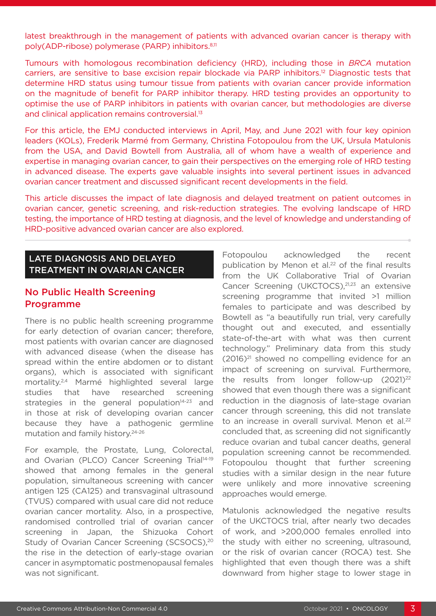latest breakthrough in the management of patients with advanced ovarian cancer is therapy with poly(ADP-ribose) polymerase (PARP) inhibitors.<sup>8,11</sup>

Tumours with homologous recombination deficiency (HRD), including those in *BRCA* mutation carriers, are sensitive to base excision repair blockade via PARP inhibitors.12 Diagnostic tests that determine HRD status using tumour tissue from patients with ovarian cancer provide information on the magnitude of benefit for PARP inhibitor therapy. HRD testing provides an opportunity to optimise the use of PARP inhibitors in patients with ovarian cancer, but methodologies are diverse and clinical application remains controversial.13

For this article, the EMJ conducted interviews in April, May, and June 2021 with four key opinion leaders (KOLs), Frederik Marmé from Germany, Christina Fotopoulou from the UK, Ursula Matulonis from the USA, and David Bowtell from Australia, all of whom have a wealth of experience and expertise in managing ovarian cancer, to gain their perspectives on the emerging role of HRD testing in advanced disease. The experts gave valuable insights into several pertinent issues in advanced ovarian cancer treatment and discussed significant recent developments in the field.

This article discusses the impact of late diagnosis and delayed treatment on patient outcomes in ovarian cancer, genetic screening, and risk-reduction strategies. The evolving landscape of HRD testing, the importance of HRD testing at diagnosis, and the level of knowledge and understanding of HRD-positive advanced ovarian cancer are also explored.

#### LATE DIAGNOSIS AND DELAYED TREATMENT IN OVARIAN CANCER

#### No Public Health Screening Programme

There is no public health screening programme for early detection of ovarian cancer; therefore, most patients with ovarian cancer are diagnosed with advanced disease (when the disease has spread within the entire abdomen or to distant organs), which is associated with significant mortality.2,4 Marmé highlighted several large studies that have researched screening strategies in the general population $14-23$  and in those at risk of developing ovarian cancer because they have a pathogenic germline mutation and family history.24-26

For example, the Prostate, Lung, Colorectal, and Ovarian (PLCO) Cancer Screening Trial<sup>14-19</sup> showed that among females in the general population, simultaneous screening with cancer antigen 125 (CA125) and transvaginal ultrasound (TVUS) compared with usual care did not reduce ovarian cancer mortality. Also, in a prospective, randomised controlled trial of ovarian cancer screening in Japan, the Shizuoka Cohort Study of Ovarian Cancer Screening (SCSOCS).<sup>20</sup> the rise in the detection of early-stage ovarian cancer in asymptomatic postmenopausal females was not significant.

Fotopoulou acknowledged the recent publication by Menon et al.<sup>22</sup> of the final results from the UK Collaborative Trial of Ovarian Cancer Screening (UKCTOCS),21,23 an extensive screening programme that invited >1 million females to participate and was described by Bowtell as "a beautifully run trial, very carefully thought out and executed, and essentially state-of-the-art with what was then current technology." Preliminary data from this study  $(2016)^{21}$  showed no compelling evidence for an impact of screening on survival. Furthermore, the results from longer follow-up  $(2021)^{22}$ showed that even though there was a significant reduction in the diagnosis of late-stage ovarian cancer through screening, this did not translate to an increase in overall survival. Menon et al.<sup>22</sup> concluded that, as screening did not significantly reduce ovarian and tubal cancer deaths, general population screening cannot be recommended. Fotopoulou thought that further screening studies with a similar design in the near future were unlikely and more innovative screening approaches would emerge.

Matulonis acknowledged the negative results of the UKCTOCS trial, after nearly two decades of work, and >200,000 females enrolled into the study with either no screening, ultrasound, or the risk of ovarian cancer (ROCA) test. She highlighted that even though there was a shift downward from higher stage to lower stage in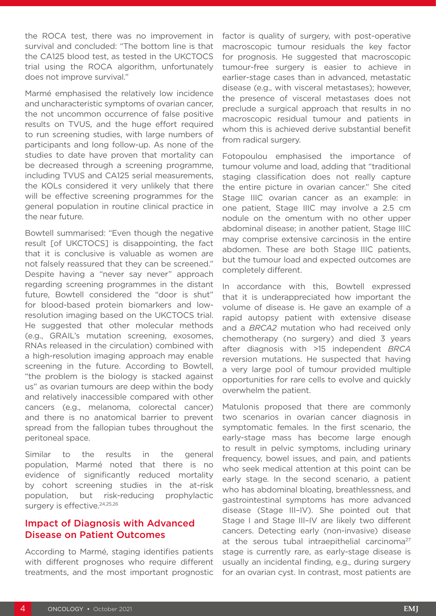the ROCA test, there was no improvement in survival and concluded: "The bottom line is that the CA125 blood test, as tested in the UKCTOCS trial using the ROCA algorithm, unfortunately does not improve survival."

Marmé emphasised the relatively low incidence and uncharacteristic symptoms of ovarian cancer, the not uncommon occurrence of false positive results on TVUS, and the huge effort required to run screening studies, with large numbers of participants and long follow-up. As none of the studies to date have proven that mortality can be decreased through a screening programme, including TVUS and CA125 serial measurements, the KOLs considered it very unlikely that there will be effective screening programmes for the general population in routine clinical practice in the near future.

Bowtell summarised: "Even though the negative result [of UKCTOCS] is disappointing, the fact that it is conclusive is valuable as women are not falsely reassured that they can be screened." Despite having a "never say never" approach regarding screening programmes in the distant future, Bowtell considered the "door is shut" for blood-based protein biomarkers and lowresolution imaging based on the UKCTOCS trial. He suggested that other molecular methods (e.g., GRAIL's mutation screening, exosomes, RNAs released in the circulation) combined with a high-resolution imaging approach may enable screening in the future. According to Bowtell, "the problem is the biology is stacked against us" as ovarian tumours are deep within the body and relatively inaccessible compared with other cancers (e.g., melanoma, colorectal cancer) and there is no anatomical barrier to prevent spread from the fallopian tubes throughout the peritoneal space.

Similar to the results in the general population, Marmé noted that there is no evidence of significantly reduced mortality by cohort screening studies in the at-risk population, but risk-reducing prophylactic surgery is effective.<sup>24,25,26</sup>

#### Impact of Diagnosis with Advanced Disease on Patient Outcomes

According to Marmé, staging identifies patients with different prognoses who require different treatments, and the most important prognostic factor is quality of surgery, with post-operative macroscopic tumour residuals the key factor for prognosis. He suggested that macroscopic tumour-free surgery is easier to achieve in earlier-stage cases than in advanced, metastatic disease (e.g., with visceral metastases); however, the presence of visceral metastases does not preclude a surgical approach that results in no macroscopic residual tumour and patients in whom this is achieved derive substantial benefit from radical surgery.

Fotopoulou emphasised the importance of tumour volume and load, adding that "traditional staging classification does not really capture the entire picture in ovarian cancer." She cited Stage IIIC ovarian cancer as an example: in one patient, Stage IIIC may involve a 2.5 cm nodule on the omentum with no other upper abdominal disease; in another patient, Stage IIIC may comprise extensive carcinosis in the entire abdomen. These are both Stage IIIC patients, but the tumour load and expected outcomes are completely different.

In accordance with this, Bowtell expressed that it is underappreciated how important the volume of disease is. He gave an example of a rapid autopsy patient with extensive disease and a *BRCA2* mutation who had received only chemotherapy (no surgery) and died 3 years after diagnosis with >15 independent *BRCA* reversion mutations. He suspected that having a very large pool of tumour provided multiple opportunities for rare cells to evolve and quickly overwhelm the patient.

Matulonis proposed that there are commonly two scenarios in ovarian cancer diagnosis in symptomatic females. In the first scenario, the early-stage mass has become large enough to result in pelvic symptoms, including urinary frequency, bowel issues, and pain, and patients who seek medical attention at this point can be early stage. In the second scenario, a patient who has abdominal bloating, breathlessness, and gastrointestinal symptoms has more advanced disease (Stage III–IV). She pointed out that Stage I and Stage III–IV are likely two different cancers. Detecting early (non-invasive) disease at the serous tubal intraepithelial carcinoma<sup>27</sup> stage is currently rare, as early-stage disease is usually an incidental finding, e.g., during surgery for an ovarian cyst. In contrast, most patients are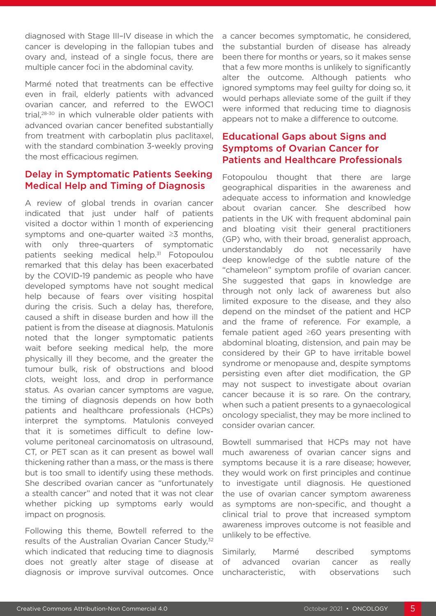diagnosed with Stage III–IV disease in which the cancer is developing in the fallopian tubes and ovary and, instead of a single focus, there are multiple cancer foci in the abdominal cavity.

Marmé noted that treatments can be effective even in frail, elderly patients with advanced ovarian cancer, and referred to the EWOC1 trial,28-30 in which vulnerable older patients with advanced ovarian cancer benefited substantially from treatment with carboplatin plus paclitaxel, with the standard combination 3-weekly proving the most efficacious regimen.

#### Delay in Symptomatic Patients Seeking Medical Help and Timing of Diagnosis

A review of global trends in ovarian cancer indicated that just under half of patients visited a doctor within 1 month of experiencing symptoms and one-quarter waited ≥3 months, with only three-quarters of symptomatic patients seeking medical help.<sup>31</sup> Fotopoulou remarked that this delay has been exacerbated by the COVID-19 pandemic as people who have developed symptoms have not sought medical help because of fears over visiting hospital during the crisis. Such a delay has, therefore, caused a shift in disease burden and how ill the patient is from the disease at diagnosis. Matulonis noted that the longer symptomatic patients wait before seeking medical help, the more physically ill they become, and the greater the tumour bulk, risk of obstructions and blood clots, weight loss, and drop in performance status. As ovarian cancer symptoms are vague, the timing of diagnosis depends on how both patients and healthcare professionals (HCPs) interpret the symptoms. Matulonis conveyed that it is sometimes difficult to define lowvolume peritoneal carcinomatosis on ultrasound, CT, or PET scan as it can present as bowel wall thickening rather than a mass, or the mass is there but is too small to identify using these methods. She described ovarian cancer as "unfortunately a stealth cancer" and noted that it was not clear whether picking up symptoms early would impact on prognosis.

Following this theme, Bowtell referred to the results of the Australian Ovarian Cancer Study,<sup>32</sup> which indicated that reducing time to diagnosis does not greatly alter stage of disease at diagnosis or improve survival outcomes. Once a cancer becomes symptomatic, he considered, the substantial burden of disease has already been there for months or years, so it makes sense that a few more months is unlikely to significantly alter the outcome. Although patients who ignored symptoms may feel guilty for doing so, it would perhaps alleviate some of the guilt if they were informed that reducing time to diagnosis appears not to make a difference to outcome.

#### Educational Gaps about Signs and Symptoms of Ovarian Cancer for Patients and Healthcare Professionals

Fotopoulou thought that there are large geographical disparities in the awareness and adequate access to information and knowledge about ovarian cancer. She described how patients in the UK with frequent abdominal pain and bloating visit their general practitioners (GP) who, with their broad, generalist approach, understandably do not necessarily have deep knowledge of the subtle nature of the "chameleon" symptom profile of ovarian cancer. She suggested that gaps in knowledge are through not only lack of awareness but also limited exposure to the disease, and they also depend on the mindset of the patient and HCP and the frame of reference. For example, a female patient aged ≥60 years presenting with abdominal bloating, distension, and pain may be considered by their GP to have irritable bowel syndrome or menopause and, despite symptoms persisting even after diet modification, the GP may not suspect to investigate about ovarian cancer because it is so rare. On the contrary, when such a patient presents to a gynaecological oncology specialist, they may be more inclined to consider ovarian cancer.

Bowtell summarised that HCPs may not have much awareness of ovarian cancer signs and symptoms because it is a rare disease; however, they would work on first principles and continue to investigate until diagnosis. He questioned the use of ovarian cancer symptom awareness as symptoms are non-specific, and thought a clinical trial to prove that increased symptom awareness improves outcome is not feasible and unlikely to be effective.

Similarly, Marmé described symptoms of advanced ovarian cancer as really uncharacteristic, with observations such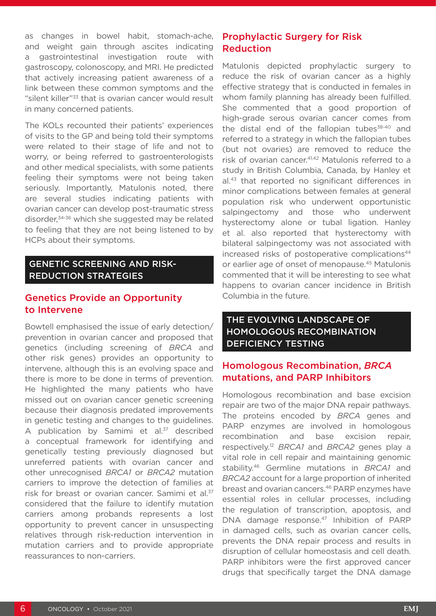as changes in bowel habit, stomach-ache, and weight gain through ascites indicating a gastrointestinal investigation route with gastroscopy, colonoscopy, and MRI. He predicted that actively increasing patient awareness of a link between these common symptoms and the "silent killer"33 that is ovarian cancer would result in many concerned patients.

The KOLs recounted their patients' experiences of visits to the GP and being told their symptoms were related to their stage of life and not to worry, or being referred to gastroenterologists and other medical specialists, with some patients feeling their symptoms were not being taken seriously. Importantly, Matulonis noted, there are several studies indicating patients with ovarian cancer can develop post-traumatic stress disorder,34-36 which she suggested may be related to feeling that they are not being listened to by HCPs about their symptoms.

#### GENETIC SCREENING AND RISK-REDUCTION STRATEGIES

#### Genetics Provide an Opportunity to Intervene

Bowtell emphasised the issue of early detection/ prevention in ovarian cancer and proposed that genetics (including screening of *BRCA* and other risk genes) provides an opportunity to intervene, although this is an evolving space and there is more to be done in terms of prevention. He highlighted the many patients who have missed out on ovarian cancer genetic screening because their diagnosis predated improvements in genetic testing and changes to the guidelines. A publication by Samimi et al. $37$  described a conceptual framework for identifying and genetically testing previously diagnosed but unreferred patients with ovarian cancer and other unrecognised *BRCA1* or *BRCA2* mutation carriers to improve the detection of families at risk for breast or ovarian cancer. Samimi et al.<sup>37</sup> considered that the failure to identify mutation carriers among probands represents a lost opportunity to prevent cancer in unsuspecting relatives through risk-reduction intervention in mutation carriers and to provide appropriate reassurances to non-carriers.

#### Prophylactic Surgery for Risk Reduction

Matulonis depicted prophylactic surgery to reduce the risk of ovarian cancer as a highly effective strategy that is conducted in females in whom family planning has already been fulfilled. She commented that a good proportion of high-grade serous ovarian cancer comes from the distal end of the fallopian tubes $38-40$  and referred to a strategy in which the fallopian tubes (but not ovaries) are removed to reduce the risk of ovarian cancer.41,42 Matulonis referred to a study in British Columbia, Canada, by Hanley et al.43 that reported no significant differences in minor complications between females at general population risk who underwent opportunistic salpingectomy and those who underwent hysterectomy alone or tubal ligation. Hanley et al. also reported that hysterectomy with bilateral salpingectomy was not associated with increased risks of postoperative complications<sup>44</sup> or earlier age of onset of menopause.45 Matulonis commented that it will be interesting to see what happens to ovarian cancer incidence in British Columbia in the future.

#### THE EVOLVING LANDSCAPE OF HOMOLOGOUS RECOMBINATION DEFICIENCY TESTING

#### Homologous Recombination, *BRCA* mutations, and PARP Inhibitors

Homologous recombination and base excision repair are two of the major DNA repair pathways. The proteins encoded by *BRCA* genes and PARP enzymes are involved in homologous recombination and base excision repair, respectively.12 *BRCA1* and *BRCA2* genes play a vital role in cell repair and maintaining genomic stability.46 Germline mutations in *BRCA1* and *BRCA2* account for a large proportion of inherited breast and ovarian cancers.46 PARP enzymes have essential roles in cellular processes, including the regulation of transcription, apoptosis, and DNA damage response.47 Inhibition of PARP in damaged cells, such as ovarian cancer cells, prevents the DNA repair process and results in disruption of cellular homeostasis and cell death. PARP inhibitors were the first approved cancer drugs that specifically target the DNA damage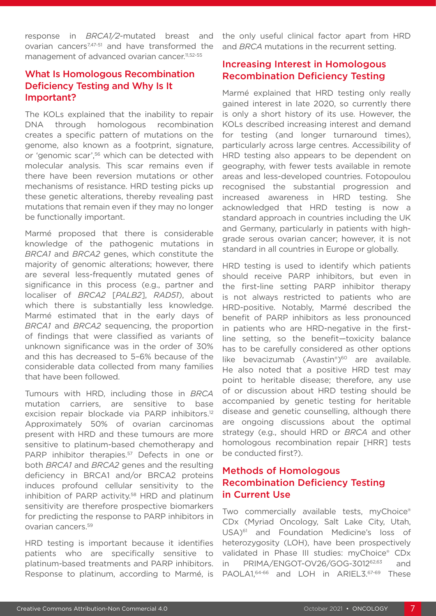response in *BRCA1/2*-mutated breast and ovarian cancers<sup>7,47-51</sup> and have transformed the management of advanced ovarian cancer.<sup>11,52-55</sup>

#### What Is Homologous Recombination Deficiency Testing and Why Is It Important?

The KOLs explained that the inability to repair DNA through homologous recombination creates a specific pattern of mutations on the genome, also known as a footprint, signature, or 'genomic scar',56 which can be detected with molecular analysis. This scar remains even if there have been reversion mutations or other mechanisms of resistance. HRD testing picks up these genetic alterations, thereby revealing past mutations that remain even if they may no longer be functionally important.

Marmé proposed that there is considerable knowledge of the pathogenic mutations in *BRCA1* and *BRCA2* genes, which constitute the majority of genomic alterations; however, there are several less-frequently mutated genes of significance in this process (e.g., partner and localiser of *BRCA2* [*PALB2*], *RAD51*), about which there is substantially less knowledge. Marmé estimated that in the early days of *BRCA1* and *BRCA2* sequencing, the proportion of findings that were classified as variants of unknown significance was in the order of 30% and this has decreased to 5–6% because of the considerable data collected from many families that have been followed.

Tumours with HRD, including those in *BRCA* mutation carriers, are sensitive to base excision repair blockade via PARP inhibitors.<sup>12</sup> Approximately 50% of ovarian carcinomas present with HRD and these tumours are more sensitive to platinum-based chemotherapy and PARP inhibitor therapies.<sup>57</sup> Defects in one or both *BRCA1* and *BRCA2* genes and the resulting deficiency in BRCA1 and/or BRCA2 proteins induces profound cellular sensitivity to the inhibition of PARP activity.58 HRD and platinum sensitivity are therefore prospective biomarkers for predicting the response to PARP inhibitors in ovarian cancers.59

HRD testing is important because it identifies patients who are specifically sensitive to platinum-based treatments and PARP inhibitors. Response to platinum, according to Marmé, is the only useful clinical factor apart from HRD and *BRCA* mutations in the recurrent setting.

#### Increasing Interest in Homologous Recombination Deficiency Testing

Marmé explained that HRD testing only really gained interest in late 2020, so currently there is only a short history of its use. However, the KOLs described increasing interest and demand for testing (and longer turnaround times), particularly across large centres. Accessibility of HRD testing also appears to be dependent on geography, with fewer tests available in remote areas and less-developed countries. Fotopoulou recognised the substantial progression and increased awareness in HRD testing. She acknowledged that HRD testing is now a standard approach in countries including the UK and Germany, particularly in patients with highgrade serous ovarian cancer; however, it is not standard in all countries in Europe or globally.

HRD testing is used to identify which patients should receive PARP inhibitors, but even in the first-line setting PARP inhibitor therapy is not always restricted to patients who are HRD-positive. Notably, Marmé described the benefit of PARP inhibitors as less pronounced in patients who are HRD-negative in the firstline setting, so the benefit—toxicity balance has to be carefully considered as other options like bevacizumab (Avastin®)<sup>60</sup> are available. He also noted that a positive HRD test may point to heritable disease; therefore, any use of or discussion about HRD testing should be accompanied by genetic testing for heritable disease and genetic counselling, although there are ongoing discussions about the optimal strategy (e.g., should HRD or *BRCA* and other homologous recombination repair [HRR] tests be conducted first?).

#### Methods of Homologous Recombination Deficiency Testing in Current Use

Two commercially available tests, myChoice® CDx (Myriad Oncology, Salt Lake City, Utah, USA)61 and Foundation Medicine's loss of heterozygosity (LOH), have been prospectively validated in Phase III studies: myChoice® CDx in PRIMA/ENGOT-OV26/GOG-3012<sup>62,63</sup> and PAOLA1,<sup>64-66</sup> and LOH in ARIEL3.<sup>67-69</sup> These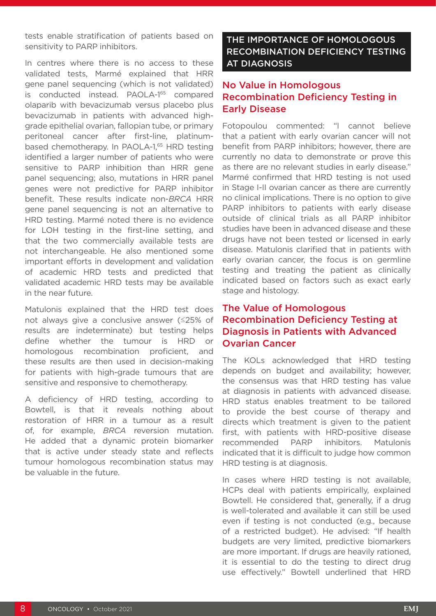tests enable stratification of patients based on sensitivity to PARP inhibitors.

In centres where there is no access to these validated tests, Marmé explained that HRR gene panel sequencing (which is not validated) is conducted instead. PAOLA-165 compared olaparib with bevacizumab versus placebo plus bevacizumab in patients with advanced highgrade epithelial ovarian, fallopian tube, or primary peritoneal cancer after first-line, platinumbased chemotherapy. In PAOLA-1,<sup>65</sup> HRD testing identified a larger number of patients who were sensitive to PARP inhibition than HRR gene panel sequencing; also, mutations in HRR panel genes were not predictive for PARP inhibitor benefit. These results indicate non-*BRCA* HRR gene panel sequencing is not an alternative to HRD testing. Marmé noted there is no evidence for LOH testing in the first-line setting, and that the two commercially available tests are not interchangeable. He also mentioned some important efforts in development and validation of academic HRD tests and predicted that validated academic HRD tests may be available in the near future.

Matulonis explained that the HRD test does not always give a conclusive answer (≤25% of results are indeterminate) but testing helps define whether the tumour is HRD or homologous recombination proficient, and these results are then used in decision-making for patients with high-grade tumours that are sensitive and responsive to chemotherapy.

A deficiency of HRD testing, according to Bowtell, is that it reveals nothing about restoration of HRR in a tumour as a result of, for example, *BRCA* reversion mutation. He added that a dynamic protein biomarker that is active under steady state and reflects tumour homologous recombination status may be valuable in the future.

#### THE IMPORTANCE OF HOMOLOGOUS RECOMBINATION DEFICIENCY TESTING AT DIAGNOSIS

#### No Value in Homologous Recombination Deficiency Testing in Early Disease

Fotopoulou commented: "I cannot believe that a patient with early ovarian cancer will not benefit from PARP inhibitors; however, there are currently no data to demonstrate or prove this as there are no relevant studies in early disease." Marmé confirmed that HRD testing is not used in Stage I-II ovarian cancer as there are currently no clinical implications. There is no option to give PARP inhibitors to patients with early disease outside of clinical trials as all PARP inhibitor studies have been in advanced disease and these drugs have not been tested or licensed in early disease. Matulonis clarified that in patients with early ovarian cancer, the focus is on germline testing and treating the patient as clinically indicated based on factors such as exact early stage and histology.

#### The Value of Homologous Recombination Deficiency Testing at Diagnosis in Patients with Advanced Ovarian Cancer

The KOLs acknowledged that HRD testing depends on budget and availability; however, the consensus was that HRD testing has value at diagnosis in patients with advanced disease. HRD status enables treatment to be tailored to provide the best course of therapy and directs which treatment is given to the patient first, with patients with HRD-positive disease recommended PARP inhibitors. Matulonis indicated that it is difficult to judge how common HRD testing is at diagnosis.

In cases where HRD testing is not available, HCPs deal with patients empirically, explained Bowtell. He considered that, generally, if a drug is well-tolerated and available it can still be used even if testing is not conducted (e.g., because of a restricted budget). He advised: "If health budgets are very limited, predictive biomarkers are more important. If drugs are heavily rationed, it is essential to do the testing to direct drug use effectively." Bowtell underlined that HRD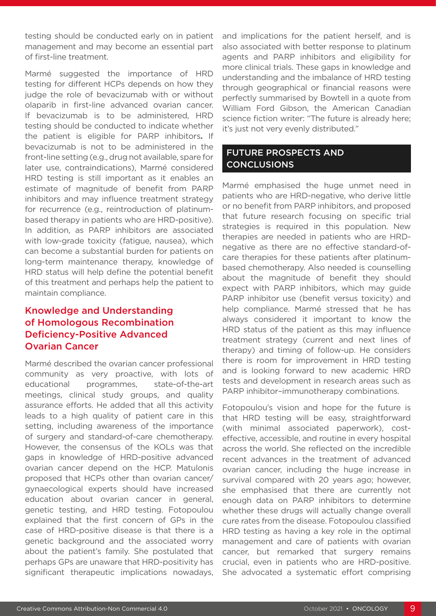testing should be conducted early on in patient management and may become an essential part of first-line treatment.

Marmé suggested the importance of HRD testing for different HCPs depends on how they judge the role of bevacizumab with or without olaparib in first-line advanced ovarian cancer. If bevacizumab is to be administered, HRD testing should be conducted to indicate whether the patient is eligible for PARP inhibitors**.** If bevacizumab is not to be administered in the front-line setting (e.g., drug not available, spare for later use, contraindications), Marmé considered HRD testing is still important as it enables an estimate of magnitude of benefit from PARP inhibitors and may influence treatment strategy for recurrence (e.g., reintroduction of platinumbased therapy in patients who are HRD-positive). In addition, as PARP inhibitors are associated with low-grade toxicity (fatigue, nausea), which can become a substantial burden for patients on long-term maintenance therapy, knowledge of HRD status will help define the potential benefit of this treatment and perhaps help the patient to maintain compliance.

#### Knowledge and Understanding of Homologous Recombination Deficiency-Positive Advanced Ovarian Cancer

Marmé described the ovarian cancer professional community as very proactive, with lots of educational programmes, state-of-the-art meetings, clinical study groups, and quality assurance efforts. He added that all this activity leads to a high quality of patient care in this setting, including awareness of the importance of surgery and standard-of-care chemotherapy. However, the consensus of the KOLs was that gaps in knowledge of HRD-positive advanced ovarian cancer depend on the HCP. Matulonis proposed that HCPs other than ovarian cancer/ gynaecological experts should have increased education about ovarian cancer in general, genetic testing, and HRD testing. Fotopoulou explained that the first concern of GPs in the case of HRD-positive disease is that there is a genetic background and the associated worry about the patient's family. She postulated that perhaps GPs are unaware that HRD-positivity has significant therapeutic implications nowadays,

and implications for the patient herself, and is also associated with better response to platinum agents and PARP inhibitors and eligibility for more clinical trials. These gaps in knowledge and understanding and the imbalance of HRD testing through geographical or financial reasons were perfectly summarised by Bowtell in a quote from William Ford Gibson, the American Canadian science fiction writer: "The future is already here; it's just not very evenly distributed."

#### FUTURE PROSPECTS AND **CONCLUSIONS**

Marmé emphasised the huge unmet need in patients who are HRD-negative, who derive little or no benefit from PARP inhibitors, and proposed that future research focusing on specific trial strategies is required in this population. New therapies are needed in patients who are HRDnegative as there are no effective standard-ofcare therapies for these patients after platinumbased chemotherapy. Also needed is counselling about the magnitude of benefit they should expect with PARP inhibitors, which may guide PARP inhibitor use (benefit versus toxicity) and help compliance. Marmé stressed that he has always considered it important to know the HRD status of the patient as this may influence treatment strategy (current and next lines of therapy) and timing of follow-up. He considers there is room for improvement in HRD testing and is looking forward to new academic HRD tests and development in research areas such as PARP inhibitor–immunotherapy combinations.

Fotopoulou's vision and hope for the future is that HRD testing will be easy, straightforward (with minimal associated paperwork), costeffective, accessible, and routine in every hospital across the world. She reflected on the incredible recent advances in the treatment of advanced ovarian cancer, including the huge increase in survival compared with 20 years ago; however, she emphasised that there are currently not enough data on PARP inhibitors to determine whether these drugs will actually change overall cure rates from the disease. Fotopoulou classified HRD testing as having a key role in the optimal management and care of patients with ovarian cancer, but remarked that surgery remains crucial, even in patients who are HRD-positive. She advocated a systematic effort comprising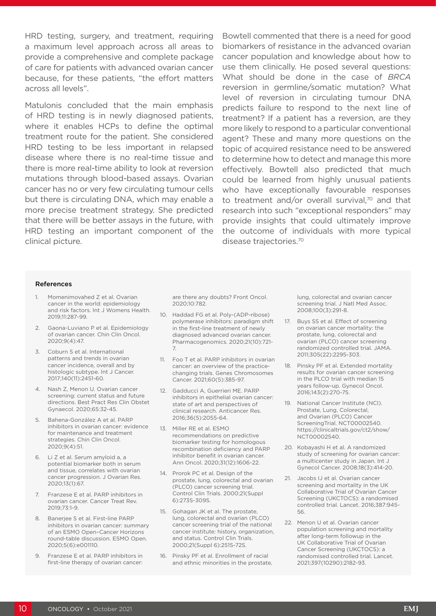HRD testing, surgery, and treatment, requiring a maximum level approach across all areas to provide a comprehensive and complete package of care for patients with advanced ovarian cancer because, for these patients, "the effort matters across all levels".

Matulonis concluded that the main emphasis of HRD testing is in newly diagnosed patients, where it enables HCPs to define the optimal treatment route for the patient. She considered HRD testing to be less important in relapsed disease where there is no real-time tissue and there is more real-time ability to look at reversion mutations through blood-based assays. Ovarian cancer has no or very few circulating tumour cells but there is circulating DNA, which may enable a more precise treatment strategy. She predicted that there will be better assays in the future, with HRD testing an important component of the clinical picture.

Bowtell commented that there is a need for good biomarkers of resistance in the advanced ovarian cancer population and knowledge about how to use them clinically. He posed several questions: What should be done in the case of *BRCA* reversion in germline/somatic mutation? What level of reversion in circulating tumour DNA predicts failure to respond to the next line of treatment? If a patient has a reversion, are they more likely to respond to a particular conventional agent? These and many more questions on the topic of acquired resistance need to be answered to determine how to detect and manage this more effectively. Bowtell also predicted that much could be learned from highly unusual patients who have exceptionally favourable responses to treatment and/or overall survival, $70$  and that research into such "exceptional responders" may provide insights that could ultimately improve the outcome of individuals with more typical disease trajectories.70

#### References

- 1. Momenimovahed Z et al. Ovarian cancer in the world: epidemiology and risk factors. Int J Womens Health. 2019;11:287-99.
- 2. Gaona-Luviano P et al. Epidemiology of ovarian cancer. Chin Clin Oncol. 2020;9(4):47.
- 3. Coburn S et al. International patterns and trends in ovarian cancer incidence, overall and by histologic subtype. Int J Cancer. 2017;140(11):2451-60.
- 4. Nash Z, Menon U. Ovarian cancer screening: current status and future directions. Best Pract Res Clin Obstet Gynaecol. 2020;65:32-45.
- 5. Bahena-González A et al. PARP inhibitors in ovarian cancer: evidence for maintenance and treatment strategies. Chin Clin Oncol. 2020;9(4):51.
- 6. Li Z et al. Serum amyloid a, a potential biomarker both in serum and tissue, correlates with ovarian cancer progression. J Ovarian Res. 2020;13(1):67.
- 7. Franzese E et al. PARP inhibitors in ovarian cancer. Cancer Treat Rev. 2019;73:1-9.
- 8. Banerjee S et al. First-line PARP inhibitors in ovarian cancer: summary of an ESMO Open–Cancer Horizons round-table discussion. ESMO Open. 2020;5(6):e001110.
- 9. Franzese E et al. PARP inhibitors in first-line therapy of ovarian cancer:

are there any doubts? Front Oncol. 2020;10:782.

- 10. Haddad FG et al. Poly-(ADP-ribose) polymerase inhibitors: paradigm shift in the first-line treatment of newly diagnosed advanced ovarian cancer. Pharmacogenomics. 2020;21(10):721- 7.
- 11. Foo T et al. PARP inhibitors in ovarian cancer: an overview of the practicechanging trials. Genes Chromosomes Cancer. 2021;60(5):385-97.
- 12. Gadducci A, Guerrieri ME. PARP inhibitors in epithelial ovarian cancer: state of art and perspectives of clinical research. Anticancer Res. 2016;36(5):2055-64.
- 13. Miller RE et al. ESMO recommendations on predictive biomarker testing for homologous recombination deficiency and PARP inhibitor benefit in ovarian cancer. Ann Oncol. 2020;31(12):1606-22.
- 14. Prorok PC et al. Design of the prostate, lung, colorectal and ovarian (PLCO) cancer screening trial. Control Clin Trials. 2000;21(Suppl 6):273S-309S.
- 15. Gohagan JK et al. The prostate, lung, colorectal and ovarian (PLCO) cancer screening trial of the national cancer institute: history, organization, and status. Control Clin Trials. 2000;21(Suppl 6):251S-72S.
- 16. Pinsky PF et al. Enrollment of racial and ethnic minorities in the prostate,

lung, colorectal and ovarian cancer screening trial. J Natl Med Assoc. 2008;100(3):291-8.

- 17. Buys SS et al. Effect of screening on ovarian cancer mortality: the prostate, lung, colorectal and ovarian (PLCO) cancer screening randomized controlled trial. JAMA. 2011;305(22):2295-303.
- 18. Pinsky PF et al. Extended mortality results for ovarian cancer screening in the PLCO trial with median 15 years follow-up. Gynecol Oncol. 2016;143(2):270-75.
- 19. National Cancer Institute (NCI). Prostate, Lung, Colorectal, and Ovarian (PLCO) Cancer ScreeningTrial. NCT00002540. https://clinicaltrials.gov/ct2/show/ NCT00002540.
- 20. Kobayashi H et al. A randomized study of screening for ovarian cancer: a multicenter study in Japan. Int J Gynecol Cancer. 2008;18(3):414-20.
- 21. Jacobs IJ et al. Ovarian cancer screening and mortality in the UK Collaborative Trial of Ovarian Cancer Screening (UKCTOCS): a randomised controlled trial. Lancet. 2016;387:945- 56.
- 22. Menon U et al. Ovarian cancer population screening and mortality after long-term followup in the UK Collaborative Trial of Ovarian Cancer Screening (UKCTOCS): a randomised controlled trial. Lancet. 2021;397(10290):2182-93.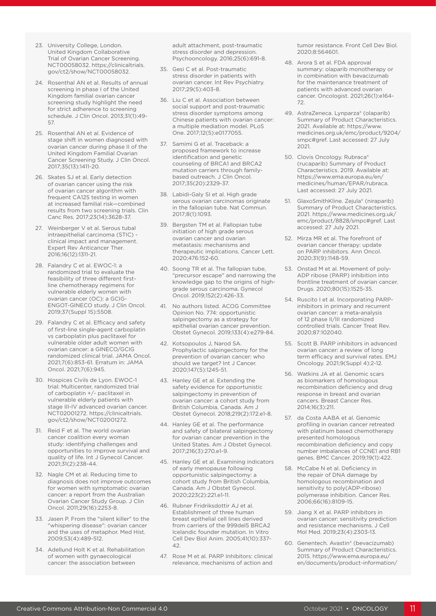- 23. University College, London. United Kingdom Collaborative Trial of Ovarian Cancer Screening. NCT00058032. https://clinicaltrials. gov/ct2/show/NCT00058032.
- 24. Rosenthal AN et al. Results of annual screening in phase I of the United Kingdom familial ovarian cancer screening study highlight the need for strict adherence to screening schedule. J Clin Oncol. 2013;31(1):49- 57.
- 25. Rosenthal AN et al. Evidence of stage shift in women diagnosed with ovarian cancer during phase II of the United Kingdom Familial Ovarian Cancer Screening Study. J Clin Oncol. 2017;35(13):1411-20.
- 26. Skates SJ et al. Early detection of ovarian cancer using the risk of ovarian cancer algorithm with frequent CA125 testing in women at increased familial risk—combined results from two screening trials. Clin Canc Res. 2017;23(14):3628-37.
- 27. Weinberger V et al. Serous tubal intraepithelial carcinoma (STIC) clinical impact and management. Expert Rev Anticancer Ther. 2016;16(12):1311-21.
- 28. Falandry C et al. EWOC-1: a randomized trial to evaluate the feasibility of three different firstline chemotherapy regimens for vulnerable elderly women with ovarian cancer (OC): a GCIG-ENGOT-GINECO study. J Clin Oncol. 2019;37(Suppl 15):5508.
- 29. Falandry C et al. Efficacy and safety of first-line single-agent carboplatin vs carboplatin plus paclitaxel for vulnerable older adult women with ovarian cancer: a GINECO/GCIG randomized clinical trial. JAMA Oncol. 2021;7(6):853-61. Erratum in: JAMA Oncol. 2021;7(6):945.
- 30. Hospices Civils de Lyon. EWOC-1 trial: Multicenter, randomized trial of carboplatin +/- paclitaxel in vulnerable elderly patients with stage III-IV advanced ovarian cancer. NCT02001272. https://clinicaltrials. gov/ct2/show/NCT02001272.
- 31. Reid F et al. The world ovarian cancer coalition every woman study: identifying challenges and opportunities to improve survival and quality of life. Int J Gynecol Cancer. 2021;31(2):238-44.
- 32. Nagle CM et al. Reducing time to diagnosis does not improve outcomes for women with symptomatic ovarian cancer: a report from the Australian Ovarian Cancer Study Group. J Clin Oncol. 2011;29(16):2253-8.
- 33. Jasen P. From the "silent killer" to the "whispering disease": ovarian cancer and the uses of metaphor. Med Hist. 2009;53(4):489-512.
- 34. Adellund Holt K et al. Rehabilitation of women with gynaecological cancer: the association between

adult attachment, post-traumatic stress disorder and depression. Psychooncology. 2016;25(6):691-8.

- 35. Gesi C et al. Post-traumatic stress disorder in patients with ovarian cancer. Int Rev Psychiatry. 2017;29(5):403-8.
- 36. Liu C et al. Association between social support and post-traumatic stress disorder symptoms among Chinese patients with ovarian cancer: a multiple mediation model. PLoS One. 2017;12(5):e0177055.
- 37. Samimi G et al. Traceback: a proposed framework to increase identification and genetic counseling of BRCA1 and BRCA2 mutation carriers through familybased outreach. J Clin Oncol. 2017;35(20):2329-37.
- 38. Labidi-Galy SI et al. High grade serous ovarian carcinomas originate in the fallopian tube. Nat Commun. 2017;8(1):1093.
- 39. Bergsten TM et al. Fallopian tube initiation of high grade serous ovarian cancer and ovarian metastasis: mechanisms and therapeutic implications. Cancer Lett. 2020;476:152-60.
- 40. Soong TR et al. The fallopian tube, "precursor escape" and narrowing the knowledge gap to the origins of highgrade serous carcinoma. Gynecol Oncol. 2019;152(2):426-33.
- 41. No authors listed. ACOG Committee Opinion No. 774: opportunistic salpingectomy as a strategy for epithelial ovarian cancer prevention. Obstet Gynecol. 2019;133(4):e279-84.
- 42. Kotsopoulos J, Narod SA. Prophylactic salpingectomy for the prevention of ovarian cancer: who should we target? Int J Cancer. 2020;147(5):1245-51.
- 43. Hanley GE et al. Extending the safety evidence for opportunistic salpingectomy in prevention of ovarian cancer: a cohort study from British Columbia, Canada. Am J Obstet Gynecol. 2018;219(2):172.e1-8.
- 44. Hanley GE et al. The performance and safety of bilateral salpingectomy for ovarian cancer prevention in the United States. Am J Obstet Gynecol. 2017;216(3):270.e1-9.
- 45. Hanley GE et al. Examining indicators of early menopause following opportunistic salpingectomy: a cohort study from British Columbia, Canada. Am J Obstet Gynecol. 2020;223(2):221.e1-11.
- 46. Rubner Fridriksdottir AJ et al. Establishment of three human breast epithelial cell lines derived from carriers of the 999del5 BRCA2 Icelandic founder mutation. In Vitro Cell Dev Biol Anim. 2005;41(10):337- 42.
- 47. Rose M et al. PARP Inhibitors: clinical relevance, mechanisms of action and

tumor resistance. Front Cell Dev Biol. 2020;8:564601.

- 48. Arora S et al. FDA approval summary: olaparib monotherapy or in combination with bevacizumab for the maintenance treatment of patients with advanced ovarian cancer. Oncologist. 2021;26(1):e164- 72.
- 49. AstraZeneca. Lynparza® (olaparib) Summary of Product Characteristics. 2021. Available at: https://www. medicines.org.uk/emc/product/9204/ smpc#gref. Last accessed: 27 July 2021.
- 50. Clovis Oncology. Rubraca® (rucaparib) Summary of Product Characteristics. 2019. Available at: https://www.ema.europa.eu/en/ medicines/human/EPAR/rubraca. Last accessed: 27 July 2021.
- 51. GlaxoSmithKline. Zejula® (niraparib) Summary of Product Characteristics. 2021. https://www.medicines.org.uk/ emc/product/8828/smpc#gref. Last accessed: 27 July 2021.
- 52. Mirza MR et al. The forefront of ovarian cancer therapy: update on PARP inhibitors. Ann Oncol. 2020;31(9):1148-59.
- 53. Onstad M et al. Movement of poly-ADP ribose (PARP) inhibition into frontline treatment of ovarian cancer. Drugs. 2020;80(15):1525-35.
- 54. Ruscito I et al. Incorporating PARPinhibitors in primary and recurrent ovarian cancer: a meta-analysis of 12 phase II/III randomized controlled trials. Cancer Treat Rev. 2020;87:102040.
- 55. Scott B. PARP inhibitors in advanced ovarian cancer: a review of long term efficacy and survival rates. EMJ Oncology. 2021;9(Suppl 4):2-12.
- 56. Watkins JA et al. Genomic scars as biomarkers of homologous recombination deficiency and drug response in breast and ovarian cancers. Breast Cancer Res. 2014;16(3):211.
- 57. da Costa AABA et al. Genomic profiling in ovarian cancer retreated with platinum based chemotherapy presented homologous recombination deficiency and copy number imbalances of CCNE1 and RB1 genes. BMC Cancer. 2019;19(1):422.
- 58. McCabe N et al. Deficiency in the repair of DNA damage by homologous recombination and sensitivity to poly(ADP-ribose) polymerase inhibition. Cancer Res. 2006;66(16):8109-15.
- 59. Jiang X et al. PARP inhibitors in ovarian cancer: sensitivity prediction and resistance mechanisms. J Cell Mol Med. 2019;23(4):2303-13.
- 60. Genentech. Avastin® (bevacizumab) Summary of Product Characteristics. 2015. https://www.ema.europa.eu/ en/documents/product-information/